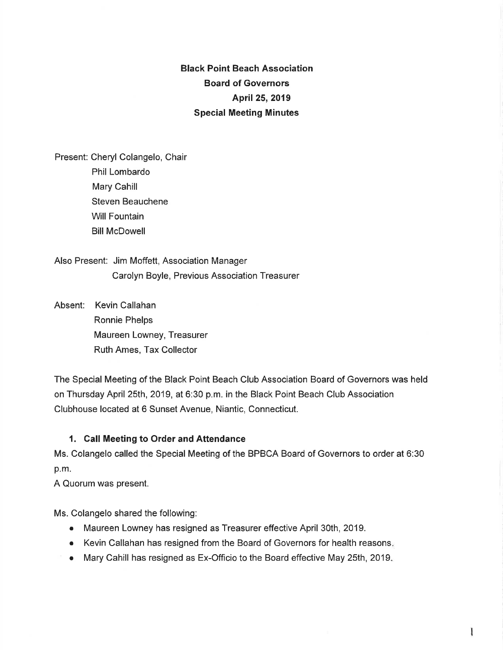Black Point Beach Association Board of Governors April 25, 2019 Special Meeting Minutes

Present: Cheryl Colangelo, Chair Phil Lombardo Mary Cahill Steven Beauchene Will Fountain Bill McDowell

Also Present: Jim Moffett, Association Manager Carolyn Boyle, Previous Association Treasurer

Absent: Kevin Callahan Ronnie Phelps Maureen Lowney, Treasurer Ruth Ames, Tax Collector

The Special Meeting of the Black Point Beach Club Association Board of Governors was held on Thursday April 25th, 2019, at 6:30 p.m. in the Black Point Beach Club Association Clubhouse located at 6 Sunset Avenue, Niantic, Connecticut.

## 1. Call Meeting to Order and Attendance

Ms. Colangelo called the Special Meeting of the BPBCA Board of Governors to order at 6:30 p.m.

A Quorum was present.

Ms. Colangelo shared the following:

- o Maureen Lowney has resigned as Treasurer effective April 30th, 2019.
- Kevin Callahan has resigned from the Board of Governors for health reasons.
- o Mary Cahill has resigned as Ex-Officio to the Board effective May 25th, 2019,

I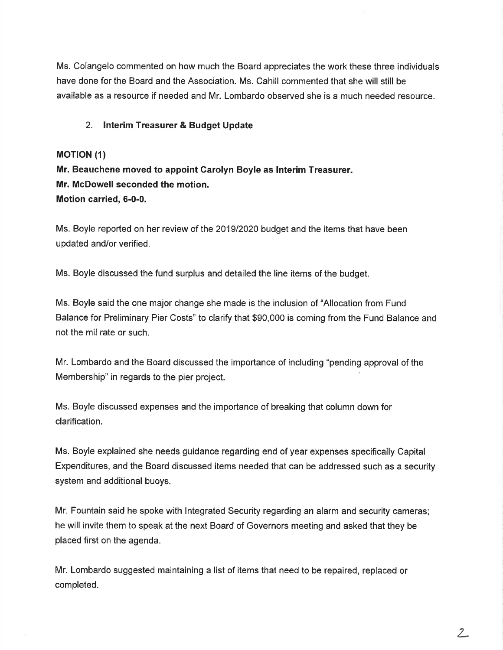Ms. Colangelo commented on how much the Board appreciates the work these three individuals have done for the Board and the Association. Ms. Cahill commented that she will still be available as a resource if needed and Mr. Lombardo observed she is a much needed resource.

#### 2. lnterim Treasurer & Budget Update

#### **MOTION (1)**

Mr. Beauchene moved to appoint Carolyn Boyle as lnterim Treasurer. Mr. McDowell seconded the motion. Motion carried, 6-0-0.

Ms. Boyle reported on her review of the 2019/2020 budget and the items that have been updated and/or verified.

Ms. Boyle discussed the fund surplus and detailed the line items of the budget.

Ms. Boyle said the one major change she made is the inclusion of "Allocation from Fund Balance for Preliminary Pier Costs" to clarify that \$90,000 is coming from the Fund Balance and not the mil rate or such.

Mr. Lombardo and the Board discussed the importance of including "pending approval of the Membership" in regards to the pier project.

Ms. Boyle discussed expenses and the importance of breaking that column down for clarification.

Ms. Boyle explained she needs guidance regarding end of year expenses specifically Capital Expenditures, and the Board discussed items needed that can be addressed such as a security system and additional buoys.

Mr. Fountain said he spoke with lntegrated Security regarding an alarm and security cameras; he will invite them to speak at the next Board of Governors meeting and asked that they be placed first on the agenda.

Mr. Lombardo suggested maintaining a list of items that need to be repaired, replaced or completed.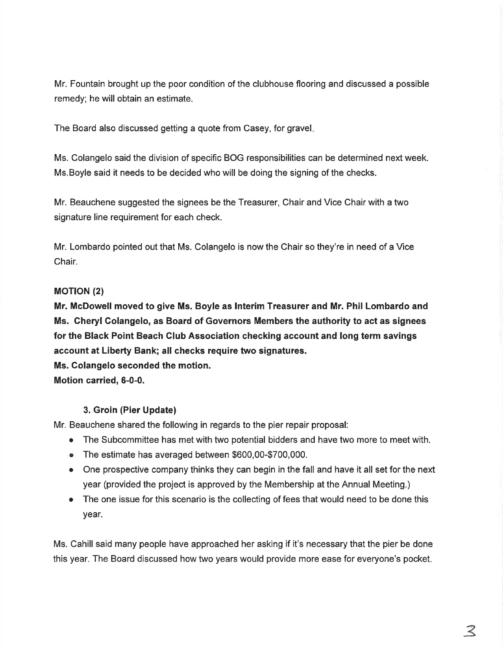Mr. Fountain brought up the poor condition of the clubhouse flooring and discussed a possible remedy; he will obtain an estimate.

The Board also discussed getting a quote from Casey, for gravel

Ms. Colangelo said the division of specific BOG responsibilities can be determined next week. Ms.Boyle said it needs to be decided who will be doing the signing of the checks.

Mr. Beauchene suggested the signees be the Treasurer, Chair and Vice Chair with a two signature line requirement for each check.

Mr. Lombardo pointed out that Ms. Colangelo is now the Chair so they're in need of a Vice Chair.

## **MOTION (2)**

Mr. McDowell moved to give Ms. Boyle as lnterim Treasurer and Mr. Phil Lombardo and Ms. Cheryl Colangelo, as Board of Governors Members the authority to act as signees for the Black Point Beach Club Association checking account and long term savings account at Liberty Bank; all checks require two signatures.

Ms. Colangelo seconded the motion.

Motion carried, 6-0-0.

# 3. Groin (Pier Update)

Mr. Beauchene shared the following in regards to the pier repair proposal:

- The Subcommittee has met with two potential bidders and have two more to meet with.
- o The estimate has averaged between \$600,00-\$700,000.
- $\bullet$  One prospective company thinks they can begin in the fall and have it all set for the next year (provided the project is approved by the Membership at the Annual Meeting.)
- The one issue for this scenario is the collecting of fees that would need to be done this year.

Ms. Cahill said many people have approached her asking if it's necessary that the pier be done this year. The Board discussed how two years would provide more ease for everyone's pocket.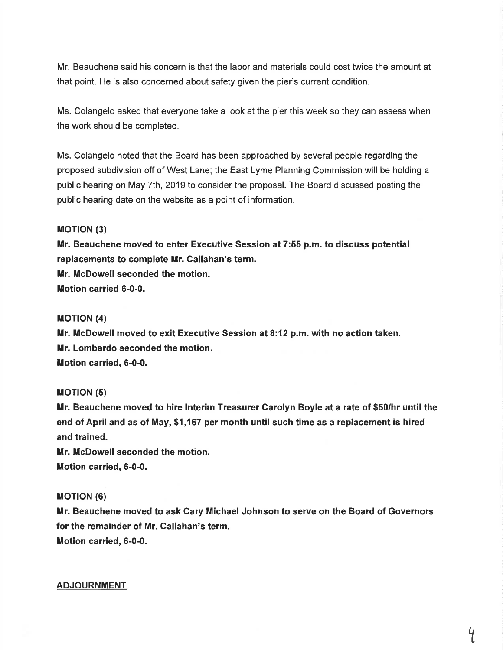Mr. Beauchene said his concern is that the labor and materials could cost twice the amount at that point. He is also concerned about safety given the pier's current condition.

Ms. Colangelo asked that everyone take a look at the pier this week so they can assess when the work should be completed.

Ms. Colangelo noted that the Board has been approached by several people regarding the proposed subdivision off of West Lane; the East Lyme Planning Commission will be holding a public hearing on May 7th, 2019 to consider the proposal. The Board discussed posting the public hearing date on the website as a point of information.

## **MOTION (3)**

Mr. Beauchene moved to enter Executive Session at 7:55 p.m. to discuss potential replacements to complete Mr. Gallahan's term. Mr. McDowell seconded the motion. Motion carried 6-0-0.

## **MOTION (4)**

Mr. McDowell moved to exit Executive Session at 8:12 p.m. with no action taken. Mr. Lombardo seconded the motion. Motion carried, 6-0-0.

#### **MOTION (5)**

Mr. Beauchene moved to hire lnterim Treasurer Carolyn Boyle at a rate of \$50/hr until the end of April and as of May, \$1,167 per month until such time as a replacement is hired and trained.

Mr. McDowell seconded the motion. Motion carried, 6-0-0.

#### MOT|ON (6)

Mr. Beauchene moved to ask Cary Michael Johnson to serve on the Board of Governors for the remainder of Mr. Callahan's term. Motion carried, 6-0-0.

#### ADJOURNMENT

 $\overline{q}$